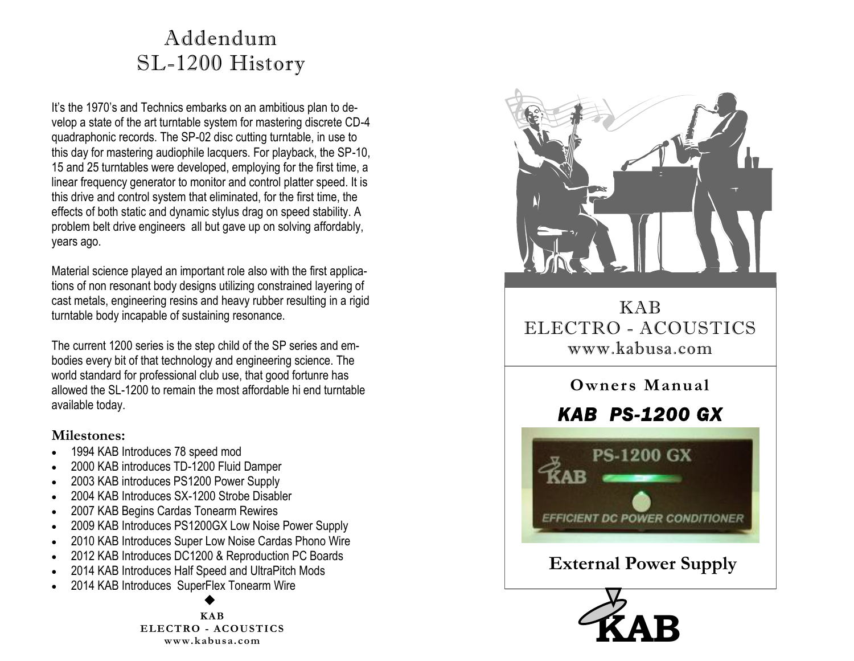## Addendum SL-1200 History

It's the 1970's and Technics embarks on an ambitious plan to develop a state of the art turntable system for mastering discrete CD-4 quadraphonic records. The SP-02 disc cutting turntable, in use to this day for mastering audiophile lacquers. For playback, the SP-10, 15 and 25 turntables were developed, employing for the first time, a linear frequency generator to monitor and control platter speed. It is this drive and control system that eliminated, for the first time, the effects of both static and dynamic stylus drag on speed stability. A problem belt drive engineers all but gave up on solving affordably, years ago.

Material science played an important role also with the first applications of non resonant body designs utilizing constrained layering of cast metals, engineering resins and heavy rubber resulting in a rigid turntable body incapable of sustaining resonance.

The current 1200 series is the step child of the SP series and embodies every bit of that technology and engineering science. The world standard for professional club use, that good fortunre has allowed the SL-1200 to remain the most affordable hi end turntable available today.

#### **Milestones:**

- 1994 KAB Introduces 78 speed mod
- 2000 KAB introduces TD-1200 Fluid Damper
- 2003 KAB introduces PS1200 Power Supply
- 2004 KAB Introduces SX-1200 Strobe Disabler
- 2007 KAB Begins Cardas Tonearm Rewires
- 2009 KAB Introduces PS1200GX Low Noise Power Supply
- 2010 KAB Introduces Super Low Noise Cardas Phono Wire
- 2012 KAB Introduces DC1200 & Reproduction PC Boards
- 2014 KAB Introduces Half Speed and UltraPitch Mods
- 2014 KAB Introduces SuperFlex Tonearm Wire

**KAB ELECTRO - ACOUSTICS www.kabusa.com**